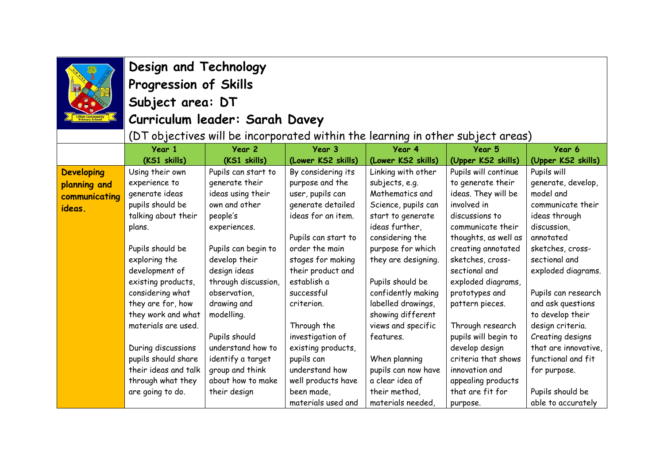

## **Design and Technology Progression of Skills Subject area: DT**

## **Curriculum leader: Sarah Davey**

 $\vert$  (DT objectives will be incorporated within the learning in other subject areas).

|                   | Year 1               | Year 2              | Year 3              | Year 4              | Year 5               | Year 6               |
|-------------------|----------------------|---------------------|---------------------|---------------------|----------------------|----------------------|
|                   | (KS1 skills)         | (KS1 skills)        | (Lower KS2 skills)  | (Lower KS2 skills)  | (Upper KS2 skills)   | (Upper KS2 skills)   |
| <b>Developing</b> | Using their own      | Pupils can start to | By considering its  | Linking with other  | Pupils will continue | Pupils will          |
| planning and      | experience to        | generate their      | purpose and the     | subjects, e.g.      | to generate their    | generate, develop,   |
| communicating     | generate ideas       | ideas using their   | user, pupils can    | Mathematics and     | ideas. They will be  | model and            |
| ideas.            | pupils should be     | own and other       | generate detailed   | Science, pupils can | involved in          | communicate their    |
|                   | talking about their  | people's            | ideas for an item.  | start to generate   | discussions to       | ideas through        |
|                   | plans.               | experiences.        |                     | ideas further,      | communicate their    | discussion,          |
|                   |                      |                     | Pupils can start to | considering the     | thoughts, as well as | annotated            |
|                   | Pupils should be     | Pupils can begin to | order the main      | purpose for which   | creating annotated   | sketches, cross-     |
|                   | exploring the        | develop their       | stages for making   | they are designing. | sketches, cross-     | sectional and        |
|                   | development of       | design ideas        | their product and   |                     | sectional and        | exploded diagrams.   |
|                   | existing products,   | through discussion, | establish a         | Pupils should be    | exploded diagrams,   |                      |
|                   | considering what     | observation,        | successful          | confidently making  | prototypes and       | Pupils can research  |
|                   | they are for, how    | drawing and         | criterion.          | labelled drawings,  | pattern pieces.      | and ask questions    |
|                   | they work and what   | modelling.          |                     | showing different   |                      | to develop their     |
|                   | materials are used.  |                     | Through the         | views and specific  | Through research     | design criteria.     |
|                   |                      | Pupils should       | investigation of    | features.           | pupils will begin to | Creating designs     |
|                   | During discussions   | understand how to   | existing products,  |                     | develop design       | that are innovative, |
|                   | pupils should share  | identify a target   | pupils can          | When planning       | criteria that shows  | functional and fit   |
|                   | their ideas and talk | group and think     | understand how      | pupils can now have | innovation and       | for purpose.         |
|                   | through what they    | about how to make   | well products have  | a clear idea of     | appealing products   |                      |
|                   | are going to do.     | their design        | been made,          | their method,       | that are fit for     | Pupils should be     |
|                   |                      |                     | materials used and  | materials needed,   | purpose.             | able to accurately   |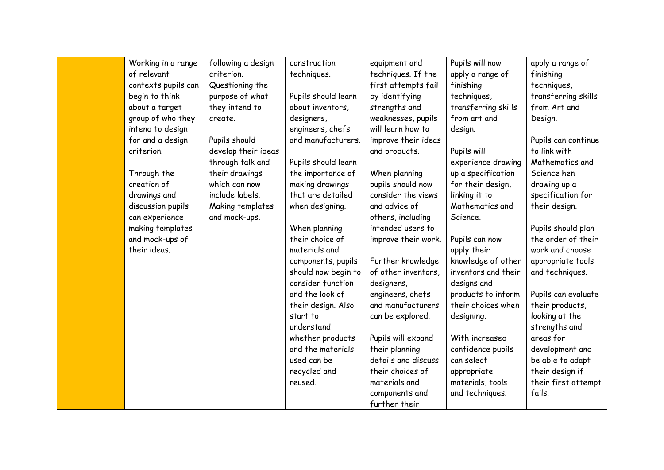| Working in a range  | following a design  | construction        | equipment and       | Pupils will now     | apply a range of    |
|---------------------|---------------------|---------------------|---------------------|---------------------|---------------------|
| of relevant         | criterion.          | techniques.         | techniques. If the  | apply a range of    | finishing           |
| contexts pupils can | Questioning the     |                     | first attempts fail | finishing           | techniques,         |
| begin to think      | purpose of what     | Pupils should learn | by identifying      | techniques,         | transferring skills |
| about a target      | they intend to      | about inventors,    | strengths and       | transferring skills | from Art and        |
| group of who they   | create.             | designers,          | weaknesses, pupils  | from art and        | Design.             |
| intend to design    |                     | engineers, chefs    | will learn how to   | design.             |                     |
| for and a design    | Pupils should       | and manufacturers.  | improve their ideas |                     | Pupils can continue |
| criterion.          | develop their ideas |                     | and products.       | Pupils will         | to link with        |
|                     | through talk and    | Pupils should learn |                     | experience drawing  | Mathematics and     |
| Through the         | their drawings      | the importance of   | When planning       | up a specification  | Science hen         |
| creation of         | which can now       | making drawings     | pupils should now   | for their design,   | drawing up a        |
| drawings and        | include labels.     | that are detailed   | consider the views  | linking it to       | specification for   |
| discussion pupils   | Making templates    | when designing.     | and advice of       | Mathematics and     | their design.       |
| can experience      | and mock-ups.       |                     | others, including   | Science.            |                     |
| making templates    |                     | When planning       | intended users to   |                     | Pupils should plan  |
| and mock-ups of     |                     | their choice of     | improve their work. | Pupils can now      | the order of their  |
| their ideas.        |                     | materials and       |                     | apply their         | work and choose     |
|                     |                     | components, pupils  | Further knowledge   | knowledge of other  | appropriate tools   |
|                     |                     | should now begin to | of other inventors, | inventors and their | and techniques.     |
|                     |                     | consider function   | designers,          | designs and         |                     |
|                     |                     | and the look of     | engineers, chefs    | products to inform  | Pupils can evaluate |
|                     |                     | their design. Also  | and manufacturers   | their choices when  | their products,     |
|                     |                     | start to            | can be explored.    | designing.          | looking at the      |
|                     |                     | understand          |                     |                     | strengths and       |
|                     |                     | whether products    | Pupils will expand  | With increased      | areas for           |
|                     |                     | and the materials   | their planning      | confidence pupils   | development and     |
|                     |                     | used can be         | details and discuss | can select          | be able to adapt    |
|                     |                     | recycled and        | their choices of    | appropriate         | their design if     |
|                     |                     | reused.             | materials and       | materials, tools    | their first attempt |
|                     |                     |                     | components and      | and techniques.     | fails.              |
|                     |                     |                     | further their       |                     |                     |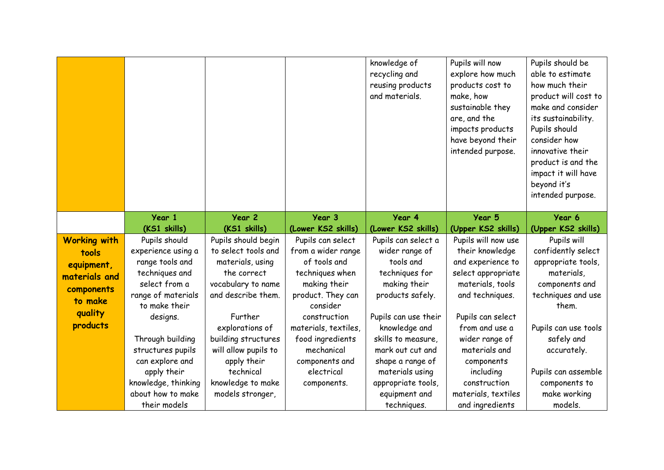|                     |                     |                      |                      | knowledge of<br>recycling and<br>reusing products<br>and materials. | Pupils will now<br>explore how much<br>products cost to<br>make, how<br>sustainable they<br>are, and the<br>impacts products<br>have beyond their<br>intended purpose. | Pupils should be<br>able to estimate<br>how much their<br>product will cost to<br>make and consider<br>its sustainability.<br>Pupils should<br>consider how<br>innovative their<br>product is and the<br>impact it will have<br>beyond it's<br>intended purpose. |
|---------------------|---------------------|----------------------|----------------------|---------------------------------------------------------------------|------------------------------------------------------------------------------------------------------------------------------------------------------------------------|------------------------------------------------------------------------------------------------------------------------------------------------------------------------------------------------------------------------------------------------------------------|
|                     | Year 1              | Year 2               | Year 3               | Year 4                                                              | Year 5                                                                                                                                                                 | Year 6                                                                                                                                                                                                                                                           |
|                     | (KS1 skills)        | (KS1 skills)         | (Lower KS2 skills)   | (Lower KS2 skills)                                                  | (Upper KS2 skills)                                                                                                                                                     | (Upper KS2 skills)                                                                                                                                                                                                                                               |
| <b>Working with</b> | Pupils should       | Pupils should begin  | Pupils can select    | Pupils can select a                                                 | Pupils will now use                                                                                                                                                    | Pupils will                                                                                                                                                                                                                                                      |
| tools               | experience using a  | to select tools and  | from a wider range   | wider range of                                                      | their knowledge                                                                                                                                                        | confidently select                                                                                                                                                                                                                                               |
| equipment,          | range tools and     | materials, using     | of tools and         | tools and                                                           | and experience to                                                                                                                                                      | appropriate tools,                                                                                                                                                                                                                                               |
| materials and       | techniques and      | the correct          | techniques when      | techniques for                                                      | select appropriate                                                                                                                                                     | materials,                                                                                                                                                                                                                                                       |
| components          | select from a       | vocabulary to name   | making their         | making their                                                        | materials, tools                                                                                                                                                       | components and                                                                                                                                                                                                                                                   |
| to make             | range of materials  | and describe them.   | product. They can    | products safely.                                                    | and techniques.                                                                                                                                                        | techniques and use                                                                                                                                                                                                                                               |
|                     | to make their       |                      | consider             |                                                                     |                                                                                                                                                                        | them.                                                                                                                                                                                                                                                            |
| quality             | designs.            | Further              | construction         | Pupils can use their                                                | Pupils can select                                                                                                                                                      |                                                                                                                                                                                                                                                                  |
| products            |                     | explorations of      | materials, textiles, | knowledge and                                                       | from and use a                                                                                                                                                         | Pupils can use tools                                                                                                                                                                                                                                             |
|                     | Through building    | building structures  | food ingredients     | skills to measure,                                                  | wider range of                                                                                                                                                         | safely and                                                                                                                                                                                                                                                       |
|                     | structures pupils   | will allow pupils to | mechanical           | mark out cut and                                                    | materials and                                                                                                                                                          | accurately.                                                                                                                                                                                                                                                      |
|                     | can explore and     | apply their          | components and       | shape a range of                                                    | components                                                                                                                                                             |                                                                                                                                                                                                                                                                  |
|                     | apply their         | technical            | electrical           | materials using                                                     | including                                                                                                                                                              | Pupils can assemble                                                                                                                                                                                                                                              |
|                     | knowledge, thinking | knowledge to make    | components.          | appropriate tools,                                                  | construction                                                                                                                                                           | components to                                                                                                                                                                                                                                                    |
|                     | about how to make   | models stronger,     |                      | equipment and                                                       | materials, textiles                                                                                                                                                    | make working                                                                                                                                                                                                                                                     |
|                     | their models        |                      |                      | techniques.                                                         | and ingredients                                                                                                                                                        | models.                                                                                                                                                                                                                                                          |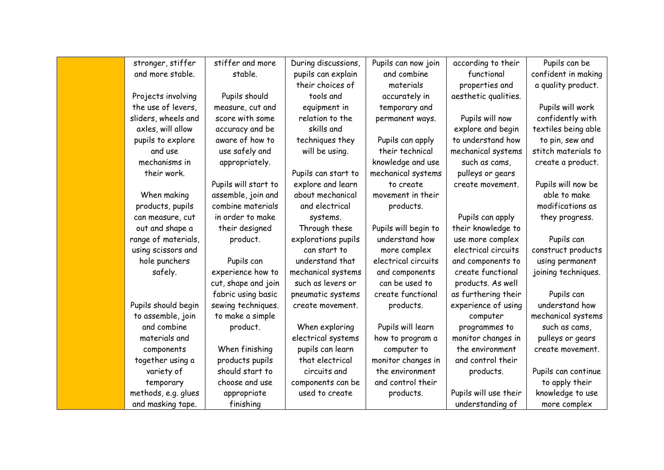| stronger, stiffer   | stiffer and more     | During discussions, | Pupils can now join  | according to their    | Pupils can be       |
|---------------------|----------------------|---------------------|----------------------|-----------------------|---------------------|
| and more stable.    | stable.              | pupils can explain  | and combine          | functional            | confident in making |
|                     |                      | their choices of    | materials            | properties and        | a quality product.  |
| Projects involving  | Pupils should        | tools and           | accurately in        | aesthetic qualities.  |                     |
| the use of levers,  | measure, cut and     | equipment in        | temporary and        |                       | Pupils will work    |
| sliders, wheels and | score with some      | relation to the     | permanent ways.      | Pupils will now       | confidently with    |
| axles, will allow   | accuracy and be      | skills and          |                      | explore and begin     | textiles being able |
| pupils to explore   | aware of how to      | techniques they     | Pupils can apply     | to understand how     | to pin, sew and     |
| and use             | use safely and       | will be using.      | their technical      | mechanical systems    | stitch materials to |
| mechanisms in       | appropriately.       |                     | knowledge and use    | such as cams,         | create a product.   |
| their work.         |                      | Pupils can start to | mechanical systems   | pulleys or gears      |                     |
|                     | Pupils will start to | explore and learn   | to create            | create movement.      | Pupils will now be  |
| When making         | assemble, join and   | about mechanical    | movement in their    |                       | able to make        |
| products, pupils    | combine materials    | and electrical      | products.            |                       | modifications as    |
| can measure, cut    | in order to make     | systems.            |                      | Pupils can apply      | they progress.      |
| out and shape a     | their designed       | Through these       | Pupils will begin to | their knowledge to    |                     |
| range of materials, | product.             | explorations pupils | understand how       | use more complex      | Pupils can          |
| using scissors and  |                      | can start to        | more complex         | electrical circuits   | construct products  |
| hole punchers       | Pupils can           | understand that     | electrical circuits  | and components to     | using permanent     |
| safely.             | experience how to    | mechanical systems  | and components       | create functional     | joining techniques. |
|                     | cut, shape and join  | such as levers or   | can be used to       | products. As well     |                     |
|                     | fabric using basic   | pneumatic systems   | create functional    | as furthering their   | Pupils can          |
| Pupils should begin | sewing techniques.   | create movement.    | products.            | experience of using   | understand how      |
| to assemble, join   | to make a simple     |                     |                      | computer              | mechanical systems  |
| and combine         | product.             | When exploring      | Pupils will learn    | programmes to         | such as cams,       |
| materials and       |                      | electrical systems  | how to program a     | monitor changes in    | pulleys or gears    |
| components          | When finishing       | pupils can learn    | computer to          | the environment       | create movement.    |
| together using a    | products pupils      | that electrical     | monitor changes in   | and control their     |                     |
| variety of          | should start to      | circuits and        | the environment      | products.             | Pupils can continue |
| temporary           | choose and use       | components can be   | and control their    |                       | to apply their      |
| methods, e.g. glues | appropriate          | used to create      | products.            | Pupils will use their | knowledge to use    |
| and masking tape.   | finishing            |                     |                      | understanding of      | more complex        |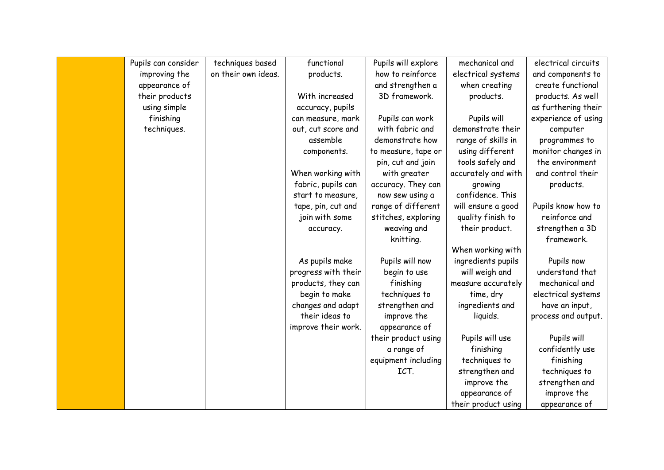| Pupils can consider | techniques based    | functional          | Pupils will explore | mechanical and      | electrical circuits |
|---------------------|---------------------|---------------------|---------------------|---------------------|---------------------|
| improving the       | on their own ideas. | products.           | how to reinforce    | electrical systems  | and components to   |
| appearance of       |                     |                     | and strengthen a    | when creating       | create functional   |
| their products      |                     | With increased      | 3D framework.       | products.           | products. As well   |
| using simple        |                     | accuracy, pupils    |                     |                     | as furthering their |
| finishing           |                     | can measure, mark   | Pupils can work     | Pupils will         | experience of using |
| techniques.         |                     | out, cut score and  | with fabric and     | demonstrate their   | computer            |
|                     |                     | assemble            | demonstrate how     | range of skills in  | programmes to       |
|                     |                     | components.         | to measure, tape or | using different     | monitor changes in  |
|                     |                     |                     | pin, cut and join   | tools safely and    | the environment     |
|                     |                     | When working with   | with greater        | accurately and with | and control their   |
|                     |                     | fabric, pupils can  | accuracy. They can  | growing             | products.           |
|                     |                     | start to measure,   | now sew using a     | confidence. This    |                     |
|                     |                     | tape, pin, cut and  | range of different  | will ensure a good  | Pupils know how to  |
|                     |                     | join with some      | stitches, exploring | quality finish to   | reinforce and       |
|                     |                     | accuracy.           | weaving and         | their product.      | strengthen a 3D     |
|                     |                     |                     | knitting.           |                     | framework.          |
|                     |                     |                     |                     | When working with   |                     |
|                     |                     | As pupils make      | Pupils will now     | ingredients pupils  | Pupils now          |
|                     |                     | progress with their | begin to use        | will weigh and      | understand that     |
|                     |                     | products, they can  | finishing           | measure accurately  | mechanical and      |
|                     |                     | begin to make       | techniques to       | time, dry           | electrical systems  |
|                     |                     | changes and adapt   | strengthen and      | ingredients and     | have an input,      |
|                     |                     | their ideas to      | improve the         | liquids.            | process and output. |
|                     |                     | improve their work. | appearance of       |                     |                     |
|                     |                     |                     | their product using | Pupils will use     | Pupils will         |
|                     |                     |                     | a range of          | finishing           | confidently use     |
|                     |                     |                     | equipment including | techniques to       | finishing           |
|                     |                     |                     | ICT.                | strengthen and      | techniques to       |
|                     |                     |                     |                     | improve the         | strengthen and      |
|                     |                     |                     |                     | appearance of       | improve the         |
|                     |                     |                     |                     | their product using | appearance of       |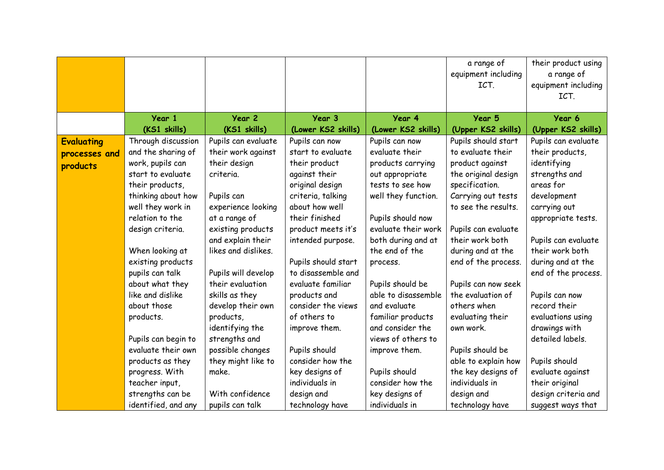|                   |                                     |                                         |                                           |                                         | a range of<br>equipment including<br>ICT. | their product using<br>a range of<br>equipment including |
|-------------------|-------------------------------------|-----------------------------------------|-------------------------------------------|-----------------------------------------|-------------------------------------------|----------------------------------------------------------|
|                   |                                     |                                         |                                           |                                         |                                           | ICT.                                                     |
|                   | Year 1                              | Year 2                                  | Year 3                                    | Year 4                                  | Year 5                                    | Year 6                                                   |
|                   | (KS1 skills)                        | (KS1 skills)                            | (Lower KS2 skills)                        | (Lower KS2 skills)                      | (Upper KS2 skills)                        | (Upper KS2 skills)                                       |
| <b>Evaluating</b> | Through discussion                  | Pupils can evaluate                     | Pupils can now                            | Pupils can now                          | Pupils should start                       | Pupils can evaluate                                      |
| processes and     | and the sharing of                  | their work against                      | start to evaluate                         | evaluate their                          | to evaluate their                         | their products,                                          |
| products          | work, pupils can                    | their design                            | their product                             | products carrying                       | product against                           | identifying                                              |
|                   | start to evaluate                   | criteria.                               | against their                             | out appropriate                         | the original design                       | strengths and                                            |
|                   | their products,                     |                                         | original design                           | tests to see how                        | specification.                            | areas for                                                |
|                   | thinking about how                  | Pupils can                              | criteria, talking                         | well they function.                     | Carrying out tests                        | development                                              |
|                   | well they work in                   | experience looking                      | about how well                            |                                         | to see the results.                       | carrying out                                             |
|                   | relation to the                     | at a range of                           | their finished                            | Pupils should now                       |                                           | appropriate tests.                                       |
|                   | design criteria.                    | existing products                       | product meets it's                        | evaluate their work                     | Pupils can evaluate                       |                                                          |
|                   |                                     | and explain their                       | intended purpose.                         | both during and at                      | their work both                           | Pupils can evaluate                                      |
|                   | When looking at                     | likes and dislikes.                     |                                           | the end of the                          | during and at the                         | their work both                                          |
|                   | existing products                   |                                         | Pupils should start<br>to disassemble and | process.                                | end of the process.                       | during and at the                                        |
|                   | pupils can talk                     | Pupils will develop<br>their evaluation | evaluate familiar                         |                                         |                                           | end of the process.                                      |
|                   | about what they<br>like and dislike | skills as they                          | products and                              | Pupils should be<br>able to disassemble | Pupils can now seek<br>the evaluation of  | Pupils can now                                           |
|                   | about those                         | develop their own                       | consider the views                        | and evaluate                            | others when                               | record their                                             |
|                   | products.                           | products,                               | of others to                              | familiar products                       | evaluating their                          | evaluations using                                        |
|                   |                                     | identifying the                         | improve them.                             | and consider the                        | own work.                                 | drawings with                                            |
|                   | Pupils can begin to                 | strengths and                           |                                           | views of others to                      |                                           | detailed labels.                                         |
|                   | evaluate their own                  | possible changes                        | Pupils should                             | improve them.                           | Pupils should be                          |                                                          |
|                   | products as they                    | they might like to                      | consider how the                          |                                         | able to explain how                       | Pupils should                                            |
|                   | progress. With                      | make.                                   | key designs of                            | Pupils should                           | the key designs of                        | evaluate against                                         |
|                   | teacher input,                      |                                         | individuals in                            | consider how the                        | individuals in                            | their original                                           |
|                   | strengths can be                    | With confidence                         | design and                                | key designs of                          | design and                                | design criteria and                                      |
|                   | identified, and any                 | pupils can talk                         | technology have                           | individuals in                          | technology have                           | suggest ways that                                        |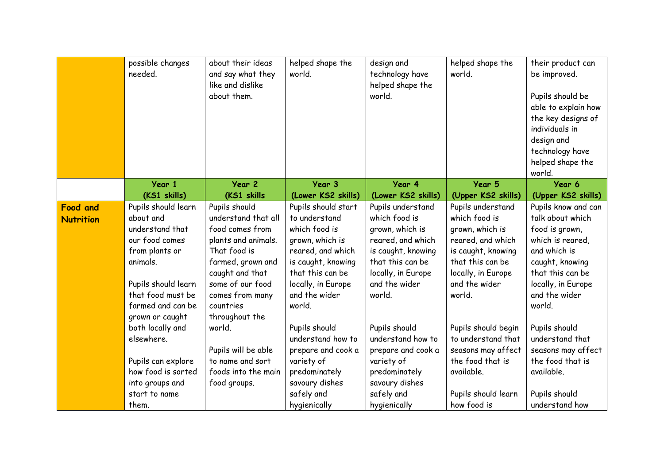|                  | possible changes<br>needed. | about their ideas<br>and say what they<br>like and dislike<br>about them. | helped shape the<br>world. | design and<br>technology have<br>helped shape the<br>world. | helped shape the<br>world. | their product can<br>be improved.<br>Pupils should be<br>able to explain how<br>the key designs of<br>individuals in<br>design and<br>technology have<br>helped shape the<br>world. |
|------------------|-----------------------------|---------------------------------------------------------------------------|----------------------------|-------------------------------------------------------------|----------------------------|-------------------------------------------------------------------------------------------------------------------------------------------------------------------------------------|
|                  | Year 1                      | Year <sub>2</sub>                                                         | Year 3                     | Year 4                                                      | Year 5                     | Year 6                                                                                                                                                                              |
|                  | (KS1 skills)                | (KS1 skills                                                               | (Lower KS2 skills)         | (Lower KS2 skills)                                          | (Upper KS2 skills)         | (Upper KS2 skills)                                                                                                                                                                  |
| <b>Food and</b>  | Pupils should learn         | Pupils should                                                             | Pupils should start        | Pupils understand                                           | Pupils understand          | Pupils know and can                                                                                                                                                                 |
| <b>Nutrition</b> | about and                   | understand that all                                                       | to understand              | which food is                                               | which food is              | talk about which                                                                                                                                                                    |
|                  | understand that             | food comes from                                                           | which food is              | grown, which is                                             | grown, which is            | food is grown,                                                                                                                                                                      |
|                  | our food comes              | plants and animals.                                                       | grown, which is            | reared, and which                                           | reared, and which          | which is reared,                                                                                                                                                                    |
|                  | from plants or              | That food is                                                              | reared, and which          | is caught, knowing                                          | is caught, knowing         | and which is                                                                                                                                                                        |
|                  | animals.                    | farmed, grown and                                                         | is caught, knowing         | that this can be                                            | that this can be           | caught, knowing                                                                                                                                                                     |
|                  |                             | caught and that                                                           | that this can be           | locally, in Europe                                          | locally, in Europe         | that this can be                                                                                                                                                                    |
|                  | Pupils should learn         | some of our food                                                          | locally, in Europe         | and the wider                                               | and the wider              | locally, in Europe                                                                                                                                                                  |
|                  | that food must be           | comes from many                                                           | and the wider              | world.                                                      | world.                     | and the wider                                                                                                                                                                       |
|                  | farmed and can be           | countries                                                                 | world.                     |                                                             |                            | world.                                                                                                                                                                              |
|                  | grown or caught             | throughout the                                                            |                            |                                                             |                            |                                                                                                                                                                                     |
|                  | both locally and            | world.                                                                    | Pupils should              | Pupils should                                               | Pupils should begin        | Pupils should                                                                                                                                                                       |
|                  | elsewhere.                  |                                                                           | understand how to          | understand how to                                           | to understand that         | understand that                                                                                                                                                                     |
|                  |                             | Pupils will be able                                                       | prepare and cook a         | prepare and cook a                                          | seasons may affect         | seasons may affect                                                                                                                                                                  |
|                  | Pupils can explore          | to name and sort                                                          | variety of                 | variety of                                                  | the food that is           | the food that is                                                                                                                                                                    |
|                  | how food is sorted          | foods into the main                                                       | predominately              | predominately                                               | available.                 | available.                                                                                                                                                                          |
|                  | into groups and             | food groups.                                                              | savoury dishes             | savoury dishes                                              |                            |                                                                                                                                                                                     |
|                  | start to name               |                                                                           | safely and                 | safely and                                                  | Pupils should learn        | Pupils should                                                                                                                                                                       |
|                  | them.                       |                                                                           | hygienically               | hygienically                                                | how food is                | understand how                                                                                                                                                                      |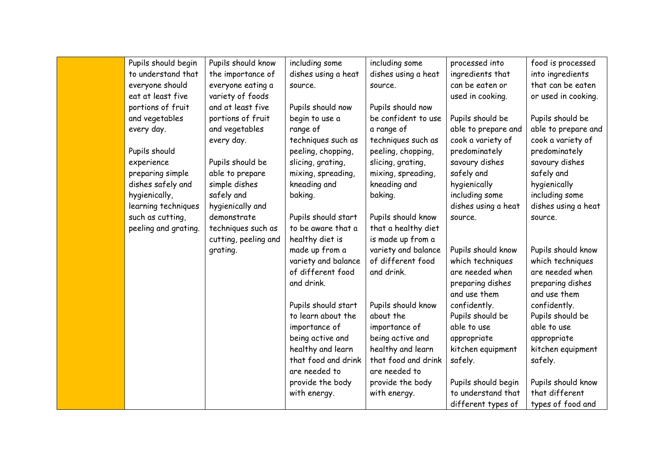| Pupils should begin  | Pupils should know   | including some      | including some      | processed into      | food is processed   |
|----------------------|----------------------|---------------------|---------------------|---------------------|---------------------|
| to understand that   | the importance of    | dishes using a heat | dishes using a heat | ingredients that    | into ingredients    |
| everyone should      | everyone eating a    | source.             | source.             | can be eaten or     | that can be eaten   |
| eat at least five    | variety of foods     |                     |                     | used in cooking.    | or used in cooking. |
| portions of fruit    | and at least five    | Pupils should now   | Pupils should now   |                     |                     |
| and vegetables       | portions of fruit    | begin to use a      | be confident to use | Pupils should be    | Pupils should be    |
| every day.           | and vegetables       | range of            | a range of          | able to prepare and | able to prepare and |
|                      | every day.           | techniques such as  | techniques such as  | cook a variety of   | cook a variety of   |
| Pupils should        |                      | peeling, chopping,  | peeling, chopping,  | predominately       | predominately       |
| experience           | Pupils should be     | slicing, grating,   | slicing, grating,   | savoury dishes      | savoury dishes      |
| preparing simple     | able to prepare      | mixing, spreading,  | mixing, spreading,  | safely and          | safely and          |
| dishes safely and    | simple dishes        | kneading and        | kneading and        | hygienically        | hygienically        |
| hygienically,        | safely and           | baking.             | baking.             | including some      | including some      |
| learning techniques  | hygienically and     |                     |                     | dishes using a heat | dishes using a heat |
| such as cutting,     | demonstrate          | Pupils should start | Pupils should know  | source.             | source.             |
| peeling and grating. | techniques such as   | to be aware that a  | that a healthy diet |                     |                     |
|                      | cutting, peeling and | healthy diet is     | is made up from a   |                     |                     |
|                      | grating.             | made up from a      | variety and balance | Pupils should know  | Pupils should know  |
|                      |                      | variety and balance | of different food   | which techniques    | which techniques    |
|                      |                      | of different food   | and drink.          | are needed when     | are needed when     |
|                      |                      | and drink.          |                     | preparing dishes    | preparing dishes    |
|                      |                      |                     |                     | and use them        | and use them        |
|                      |                      | Pupils should start | Pupils should know  | confidently.        | confidently.        |
|                      |                      | to learn about the  | about the           | Pupils should be    | Pupils should be    |
|                      |                      | importance of       | importance of       | able to use         | able to use         |
|                      |                      | being active and    | being active and    | appropriate         | appropriate         |
|                      |                      | healthy and learn   | healthy and learn   | kitchen equipment   | kitchen equipment   |
|                      |                      | that food and drink | that food and drink | safely.             | safely.             |
|                      |                      | are needed to       | are needed to       |                     |                     |
|                      |                      | provide the body    | provide the body    | Pupils should begin | Pupils should know  |
|                      |                      | with energy.        | with energy.        | to understand that  | that different      |
|                      |                      |                     |                     | different types of  | types of food and   |